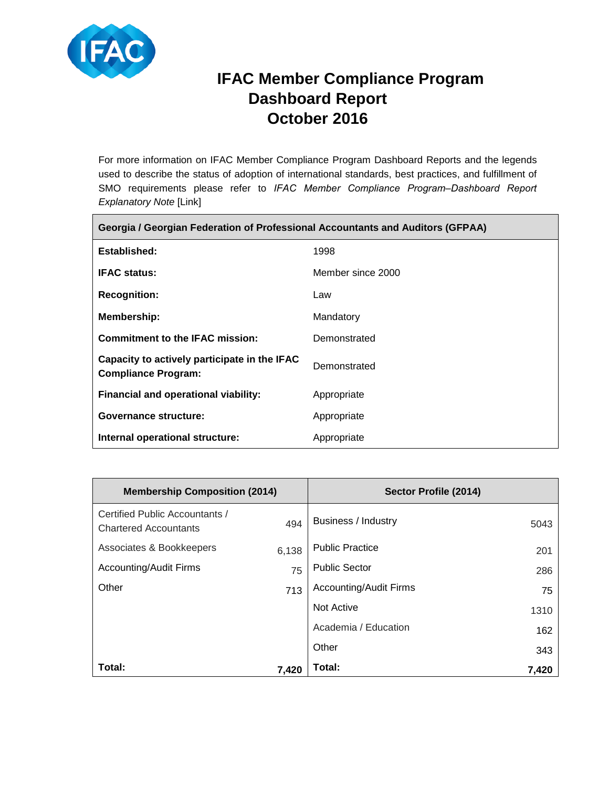

Г

# **IFAC Member Compliance Program Dashboard Report October 2016**

 $\overline{\phantom{0}}$ 

For more information on IFAC Member Compliance Program Dashboard Reports and the legends used to describe the status of adoption of international standards, best practices, and fulfillment of SMO requirements please refer to IFAC Member Compliance Program-Dashboard Report *Explanatory Note* [Link]

| Georgia / Georgian Federation of Professional Accountants and Auditors (GFPAA) |                   |  |
|--------------------------------------------------------------------------------|-------------------|--|
| Established:                                                                   | 1998              |  |
| <b>IFAC status:</b>                                                            | Member since 2000 |  |
| <b>Recognition:</b>                                                            | Law               |  |
| <b>Membership:</b>                                                             | Mandatory         |  |
| <b>Commitment to the IFAC mission:</b>                                         | Demonstrated      |  |
| Capacity to actively participate in the IFAC<br><b>Compliance Program:</b>     | Demonstrated      |  |
| Financial and operational viability:                                           | Appropriate       |  |
| Governance structure:                                                          | Appropriate       |  |
| Internal operational structure:                                                | Appropriate       |  |

| <b>Membership Composition (2014)</b>                           |       | Sector Profile (2014)         |       |
|----------------------------------------------------------------|-------|-------------------------------|-------|
| Certified Public Accountants /<br><b>Chartered Accountants</b> | 494   | Business / Industry           | 5043  |
| Associates & Bookkeepers                                       | 6,138 | <b>Public Practice</b>        | 201   |
| <b>Accounting/Audit Firms</b>                                  | 75    | <b>Public Sector</b>          | 286   |
| Other                                                          | 713   | <b>Accounting/Audit Firms</b> | 75    |
|                                                                |       | <b>Not Active</b>             | 1310  |
|                                                                |       | Academia / Education          | 162   |
|                                                                |       | Other                         | 343   |
| Total:                                                         | 7.420 | Total:                        | 7,420 |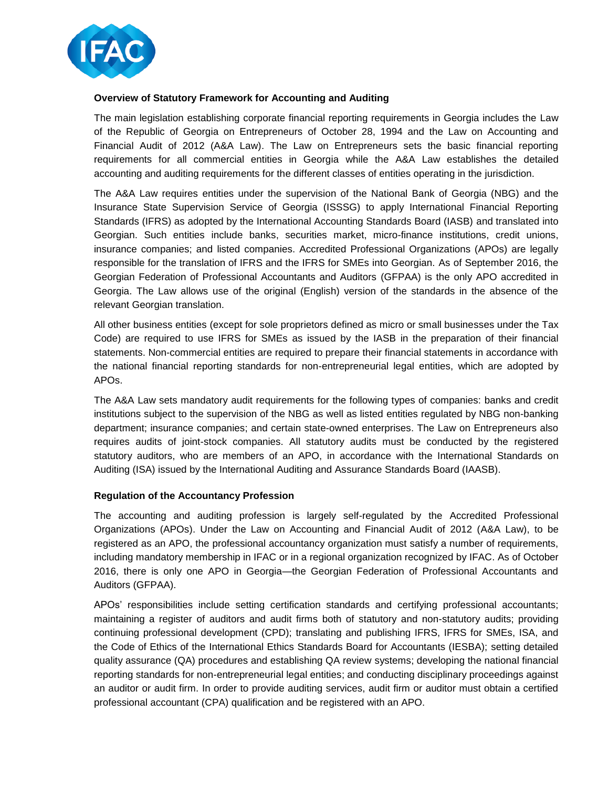

## **Overview of Statutory Framework for Accounting and Auditing**

The main legislation establishing corporate financial reporting requirements in Georgia includes the Law of the Republic of Georgia on Entrepreneurs of October 28, 1994 and the Law on Accounting and Financial Audit of 2012 (A&A Law). The Law on Entrepreneurs sets the basic financial reporting requirements for all commercial entities in Georgia while the A&A Law establishes the detailed accounting and auditing requirements for the different classes of entities operating in the jurisdiction.

The A&A Law requires entities under the supervision of the National Bank of Georgia (NBG) and the Insurance State Supervision Service of Georgia (ISSSG) to apply International Financial Reporting Standards (IFRS) as adopted by the International Accounting Standards Board (IASB) and translated into Georgian. Such entities include banks, securities market, micro-finance institutions, credit unions, insurance companies; and listed companies. Accredited Professional Organizations (APOs) are legally responsible for the translation of IFRS and the IFRS for SMEs into Georgian. As of September 2016, the Georgian Federation of Professional Accountants and Auditors (GFPAA) is the only APO accredited in Georgia. The Law allows use of the original (English) version of the standards in the absence of the relevant Georgian translation.

All other business entities (except for sole proprietors defined as micro or small businesses under the Tax Code) are required to use IFRS for SMEs as issued by the IASB in the preparation of their financial statements. Non-commercial entities are required to prepare their financial statements in accordance with the national financial reporting standards for non-entrepreneurial legal entities, which are adopted by APOs.

The A&A Law sets mandatory audit requirements for the following types of companies: banks and credit institutions subject to the supervision of the NBG as well as listed entities regulated by NBG non-banking department; insurance companies; and certain state-owned enterprises. The Law on Entrepreneurs also requires audits of joint-stock companies. All statutory audits must be conducted by the registered statutory auditors, who are members of an APO, in accordance with the International Standards on Auditing (ISA) issued by the International Auditing and Assurance Standards Board (IAASB).

## **Regulation of the Accountancy Profession**

The accounting and auditing profession is largely self-regulated by the Accredited Professional Organizations (APOs). Under the Law on Accounting and Financial Audit of 2012 (A&A Law), to be registered as an APO, the professional accountancy organization must satisfy a number of requirements, including mandatory membership in IFAC or in a regional organization recognized by IFAC. As of October 2016, there is only one APO in Georgia—the Georgian Federation of Professional Accountants and Auditors (GFPAA).

APOs' responsibilities include setting certification standards and certifying professional accountants; maintaining a register of auditors and audit firms both of statutory and non-statutory audits; providing continuing professional development (CPD); translating and publishing IFRS, IFRS for SMEs, ISA, and the Code of Ethics of the International Ethics Standards Board for Accountants (IESBA); setting detailed quality assurance (QA) procedures and establishing QA review systems; developing the national financial reporting standards for non-entrepreneurial legal entities; and conducting disciplinary proceedings against an auditor or audit firm. In order to provide auditing services, audit firm or auditor must obtain a certified professional accountant (CPA) qualification and be registered with an APO.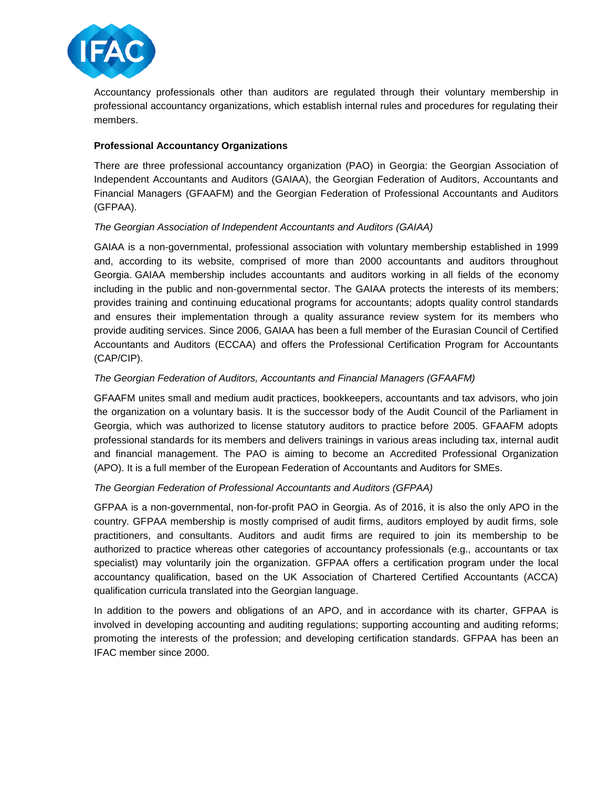

Accountancy professionals other than auditors are regulated through their voluntary membership in professional accountancy organizations, which establish internal rules and procedures for regulating their members.

## **Professional Accountancy Organizations**

There are three professional accountancy organization (PAO) in Georgia: the Georgian Association of Independent Accountants and Auditors (GAIAA), the Georgian Federation of Auditors, Accountants and Financial Managers (GFAAFM) and the Georgian Federation of Professional Accountants and Auditors (GFPAA).

## *The Georgian Association of Independent Accountants and Auditors (GAIAA)*

GAIAA is a non-governmental, professional association with voluntary membership established in 1999 and, according to its website, comprised of more than 2000 accountants and auditors throughout Georgia. GAIAA membership includes accountants and auditors working in all fields of the economy including in the public and non-governmental sector. The GAIAA protects the interests of its members; provides training and continuing educational programs for accountants; adopts quality control standards and ensures their implementation through a quality assurance review system for its members who provide auditing services. Since 2006, GAIAA has been a full member of the Eurasian Council of Certified Accountants and Auditors (ECCAA) and offers the Professional Certification Program for Accountants (CAP/CIP).

## *The Georgian Federation of Auditors, Accountants and Financial Managers (GFAAFM)*

GFAAFM unites small and medium audit practices, bookkeepers, accountants and tax advisors, who join the organization on a voluntary basis. It is the successor body of the Audit Council of the Parliament in Georgia, which was authorized to license statutory auditors to practice before 2005. GFAAFM adopts professional standards for its members and delivers trainings in various areas including tax, internal audit and financial management. The PAO is aiming to become an Accredited Professional Organization (APO). It is a full member of the European Federation of Accountants and Auditors for SMEs.

## *The Georgian Federation of Professional Accountants and Auditors (GFPAA)*

GFPAA is a non-governmental, non-for-profit PAO in Georgia. As of 2016, it is also the only APO in the country. GFPAA membership is mostly comprised of audit firms, auditors employed by audit firms, sole practitioners, and consultants. Auditors and audit firms are required to join its membership to be authorized to practice whereas other categories of accountancy professionals (e.g., accountants or tax specialist) may voluntarily join the organization. GFPAA offers a certification program under the local accountancy qualification, based on the UK Association of Chartered Certified Accountants (ACCA) qualification curricula translated into the Georgian language.

In addition to the powers and obligations of an APO, and in accordance with its charter, GFPAA is involved in developing accounting and auditing regulations; supporting accounting and auditing reforms; promoting the interests of the profession; and developing certification standards. GFPAA has been an IFAC member since 2000.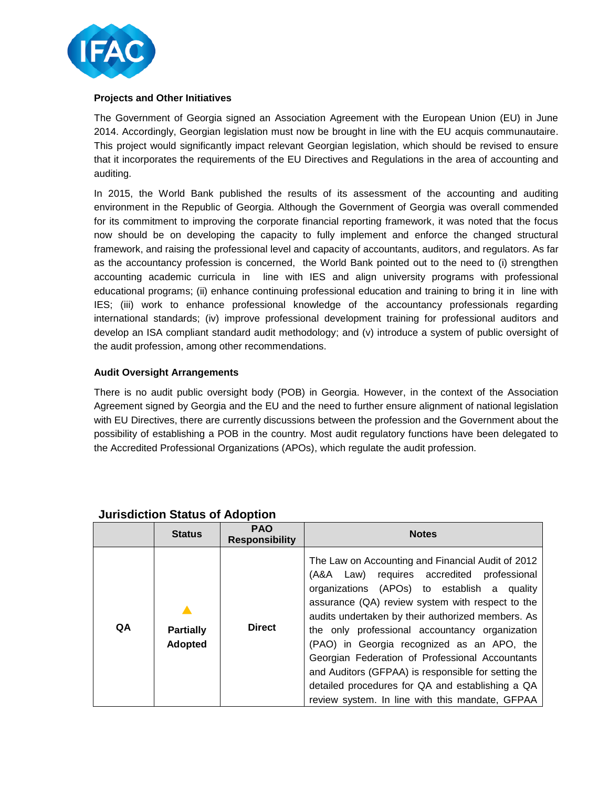

## **Projects and Other Initiatives**

The Government of Georgia signed an Association Agreement with the European Union (EU) in June 2014. Accordingly, Georgian legislation must now be brought in line with the EU acquis communautaire. This project would significantly impact relevant Georgian legislation, which should be revised to ensure that it incorporates the requirements of the EU Directives and Regulations in the area of accounting and auditing.

In 2015, the World Bank published the results of its assessment of the accounting and auditing environment in the Republic of Georgia. Although the Government of Georgia was overall commended for its commitment to improving the corporate financial reporting framework, it was noted that the focus now should be on developing the capacity to fully implement and enforce the changed structural framework, and raising the professional level and capacity of accountants, auditors, and regulators. As far as the accountancy profession is concerned, the World Bank pointed out to the need to (i) strengthen accounting academic curricula in line with IES and align university programs with professional educational programs; (ii) enhance continuing professional education and training to bring it in line with IES; (iii) work to enhance professional knowledge of the accountancy professionals regarding international standards; (iv) improve professional development training for professional auditors and develop an ISA compliant standard audit methodology; and (v) introduce a system of public oversight of the audit profession, among other recommendations.

## **Audit Oversight Arrangements**

There is no audit public oversight body (POB) in Georgia. However, in the context of the Association Agreement signed by Georgia and the EU and the need to further ensure alignment of national legislation with EU Directives, there are currently discussions between the profession and the Government about the possibility of establishing a POB in the country. Most audit regulatory functions have been delegated to the Accredited Professional Organizations (APOs), which regulate the audit profession.

|    | <b>Status</b>               | <b>PAO</b><br><b>Responsibility</b> | <b>Notes</b>                                                                                                                                                                                                                                                                                                                                                                                                                                                                                                                                                                        |
|----|-----------------------------|-------------------------------------|-------------------------------------------------------------------------------------------------------------------------------------------------------------------------------------------------------------------------------------------------------------------------------------------------------------------------------------------------------------------------------------------------------------------------------------------------------------------------------------------------------------------------------------------------------------------------------------|
| QA | <b>Partially</b><br>Adopted | <b>Direct</b>                       | The Law on Accounting and Financial Audit of 2012<br>Law) requires accredited<br>professional<br>(A&A –<br>organizations (APOs) to establish a<br>quality<br>assurance (QA) review system with respect to the<br>audits undertaken by their authorized members. As<br>the only professional accountancy organization<br>(PAO) in Georgia recognized as an APO, the<br>Georgian Federation of Professional Accountants<br>and Auditors (GFPAA) is responsible for setting the<br>detailed procedures for QA and establishing a QA<br>review system. In line with this mandate, GFPAA |

## **Jurisdiction Status of Adoption**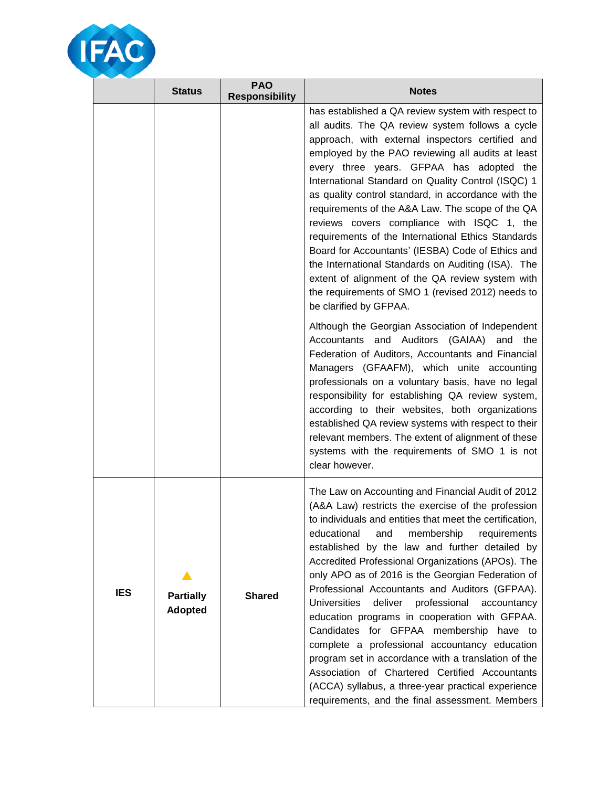

|            | <b>Status</b>                      | <b>PAO</b><br><b>Responsibility</b> | <b>Notes</b>                                                                                                                                                                                                                                                                                                                                                                                                                                                                                                                                                                                                                                                                                                                                                                                                                                                          |
|------------|------------------------------------|-------------------------------------|-----------------------------------------------------------------------------------------------------------------------------------------------------------------------------------------------------------------------------------------------------------------------------------------------------------------------------------------------------------------------------------------------------------------------------------------------------------------------------------------------------------------------------------------------------------------------------------------------------------------------------------------------------------------------------------------------------------------------------------------------------------------------------------------------------------------------------------------------------------------------|
|            |                                    |                                     | has established a QA review system with respect to<br>all audits. The QA review system follows a cycle<br>approach, with external inspectors certified and<br>employed by the PAO reviewing all audits at least<br>every three years. GFPAA has adopted the<br>International Standard on Quality Control (ISQC) 1<br>as quality control standard, in accordance with the<br>requirements of the A&A Law. The scope of the QA<br>reviews covers compliance with ISQC 1, the<br>requirements of the International Ethics Standards<br>Board for Accountants' (IESBA) Code of Ethics and<br>the International Standards on Auditing (ISA). The<br>extent of alignment of the QA review system with<br>the requirements of SMO 1 (revised 2012) needs to<br>be clarified by GFPAA.                                                                                        |
|            |                                    |                                     | Although the Georgian Association of Independent<br>Accountants and Auditors (GAIAA)<br>and<br>the<br>Federation of Auditors, Accountants and Financial<br>Managers (GFAAFM), which unite accounting<br>professionals on a voluntary basis, have no legal<br>responsibility for establishing QA review system,<br>according to their websites, both organizations<br>established QA review systems with respect to their<br>relevant members. The extent of alignment of these<br>systems with the requirements of SMO 1 is not<br>clear however.                                                                                                                                                                                                                                                                                                                     |
| <b>IES</b> | <b>Partially</b><br><b>Adopted</b> | <b>Shared</b>                       | The Law on Accounting and Financial Audit of 2012<br>(A&A Law) restricts the exercise of the profession<br>to individuals and entities that meet the certification,<br>educational<br>and<br>membership<br>requirements<br>established by the law and further detailed by<br>Accredited Professional Organizations (APOs). The<br>only APO as of 2016 is the Georgian Federation of<br>Professional Accountants and Auditors (GFPAA).<br>professional<br><b>Universities</b><br>deliver<br>accountancy<br>education programs in cooperation with GFPAA.<br>Candidates for GFPAA membership have to<br>complete a professional accountancy education<br>program set in accordance with a translation of the<br>Association of Chartered Certified Accountants<br>(ACCA) syllabus, a three-year practical experience<br>requirements, and the final assessment. Members |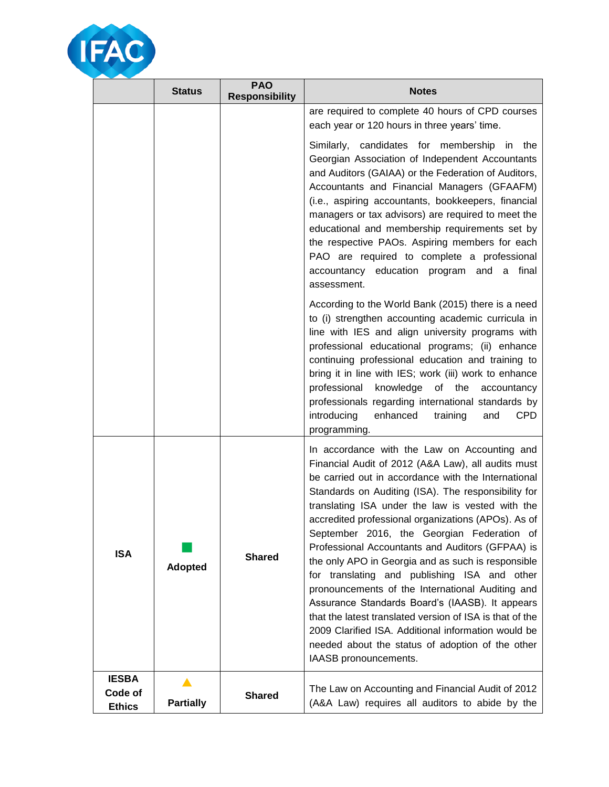

|                                          | <b>Status</b>    | <b>PAO</b><br><b>Responsibility</b> | <b>Notes</b>                                                                                                                                                                                                                                                                                                                                                                                                                                                                                                                                                                                                                                                                                                                                                                                                                               |
|------------------------------------------|------------------|-------------------------------------|--------------------------------------------------------------------------------------------------------------------------------------------------------------------------------------------------------------------------------------------------------------------------------------------------------------------------------------------------------------------------------------------------------------------------------------------------------------------------------------------------------------------------------------------------------------------------------------------------------------------------------------------------------------------------------------------------------------------------------------------------------------------------------------------------------------------------------------------|
|                                          |                  |                                     | are required to complete 40 hours of CPD courses<br>each year or 120 hours in three years' time.                                                                                                                                                                                                                                                                                                                                                                                                                                                                                                                                                                                                                                                                                                                                           |
|                                          |                  |                                     | Similarly, candidates for membership in the<br>Georgian Association of Independent Accountants<br>and Auditors (GAIAA) or the Federation of Auditors,<br>Accountants and Financial Managers (GFAAFM)<br>(i.e., aspiring accountants, bookkeepers, financial<br>managers or tax advisors) are required to meet the<br>educational and membership requirements set by<br>the respective PAOs. Aspiring members for each<br>PAO are required to complete a professional<br>accountancy education program and a<br>final<br>assessment.                                                                                                                                                                                                                                                                                                        |
|                                          |                  |                                     | According to the World Bank (2015) there is a need<br>to (i) strengthen accounting academic curricula in<br>line with IES and align university programs with<br>professional educational programs; (ii) enhance<br>continuing professional education and training to<br>bring it in line with IES; work (iii) work to enhance<br>professional<br>knowledge of the<br>accountancy<br>professionals regarding international standards by<br>introducing<br>CPD<br>enhanced<br>training<br>and<br>programming.                                                                                                                                                                                                                                                                                                                                |
| <b>ISA</b>                               | <b>Adopted</b>   | <b>Shared</b>                       | In accordance with the Law on Accounting and<br>Financial Audit of 2012 (A&A Law), all audits must<br>be carried out in accordance with the International<br>Standards on Auditing (ISA). The responsibility for<br>translating ISA under the law is vested with the<br>accredited professional organizations (APOs). As of<br>September 2016, the Georgian Federation of<br>Professional Accountants and Auditors (GFPAA) is<br>the only APO in Georgia and as such is responsible<br>for translating and publishing ISA and other<br>pronouncements of the International Auditing and<br>Assurance Standards Board's (IAASB). It appears<br>that the latest translated version of ISA is that of the<br>2009 Clarified ISA. Additional information would be<br>needed about the status of adoption of the other<br>IAASB pronouncements. |
| <b>IESBA</b><br>Code of<br><b>Ethics</b> | <b>Partially</b> | <b>Shared</b>                       | The Law on Accounting and Financial Audit of 2012<br>(A&A Law) requires all auditors to abide by the                                                                                                                                                                                                                                                                                                                                                                                                                                                                                                                                                                                                                                                                                                                                       |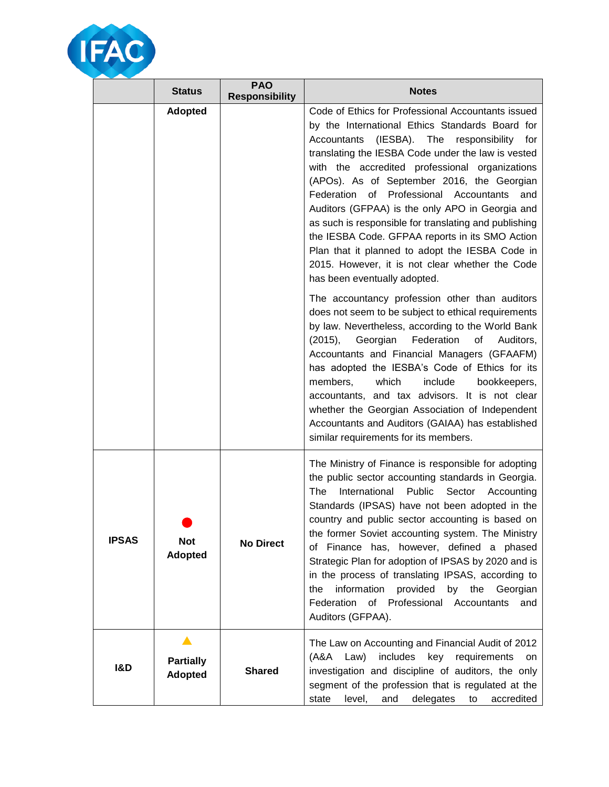

|                | <b>Status</b>                    | <b>PAO</b><br><b>Responsibility</b> | <b>Notes</b>                                                                                                                                                                                                                                                                                                                                                                                                                                                                                                                                                                                                                                                                                                          |
|----------------|----------------------------------|-------------------------------------|-----------------------------------------------------------------------------------------------------------------------------------------------------------------------------------------------------------------------------------------------------------------------------------------------------------------------------------------------------------------------------------------------------------------------------------------------------------------------------------------------------------------------------------------------------------------------------------------------------------------------------------------------------------------------------------------------------------------------|
|                | <b>Adopted</b>                   |                                     | Code of Ethics for Professional Accountants issued<br>by the International Ethics Standards Board for<br>Accountants<br>(IESBA). The responsibility for<br>translating the IESBA Code under the law is vested<br>with the accredited professional organizations<br>(APOs). As of September 2016, the Georgian<br>Federation of Professional Accountants<br>and<br>Auditors (GFPAA) is the only APO in Georgia and<br>as such is responsible for translating and publishing<br>the IESBA Code. GFPAA reports in its SMO Action<br>Plan that it planned to adopt the IESBA Code in<br>2015. However, it is not clear whether the Code<br>has been eventually adopted.<br>The accountancy profession other than auditors |
|                |                                  |                                     | does not seem to be subject to ethical requirements<br>by law. Nevertheless, according to the World Bank<br>Georgian<br>Federation<br>(2015),<br>of<br>Auditors,<br>Accountants and Financial Managers (GFAAFM)<br>has adopted the IESBA's Code of Ethics for its<br>members,<br>which<br>include<br>bookkeepers,<br>accountants, and tax advisors. It is not clear<br>whether the Georgian Association of Independent<br>Accountants and Auditors (GAIAA) has established<br>similar requirements for its members.                                                                                                                                                                                                   |
| <b>IPSAS</b>   | <b>Not</b><br><b>Adopted</b>     | <b>No Direct</b>                    | The Ministry of Finance is responsible for adopting<br>the public sector accounting standards in Georgia.<br>International Public<br>Sector<br>The<br>Accounting<br>Standards (IPSAS) have not been adopted in the<br>country and public sector accounting is based on<br>the former Soviet accounting system. The Ministry<br>of Finance has, however, defined a phased<br>Strategic Plan for adoption of IPSAS by 2020 and is<br>in the process of translating IPSAS, according to<br>information<br>provided<br>the<br>the<br>by<br>Georgian<br>Federation of Professional Accountants<br>and<br>Auditors (GFPAA).                                                                                                 |
| <b>I&amp;D</b> | ▲<br><b>Partially</b><br>Adopted | <b>Shared</b>                       | The Law on Accounting and Financial Audit of 2012<br>includes<br>$(A&A$ Law)<br>key requirements<br>on<br>investigation and discipline of auditors, the only<br>segment of the profession that is regulated at the<br>level,<br>delegates<br>accredited<br>state<br>and<br>to                                                                                                                                                                                                                                                                                                                                                                                                                                         |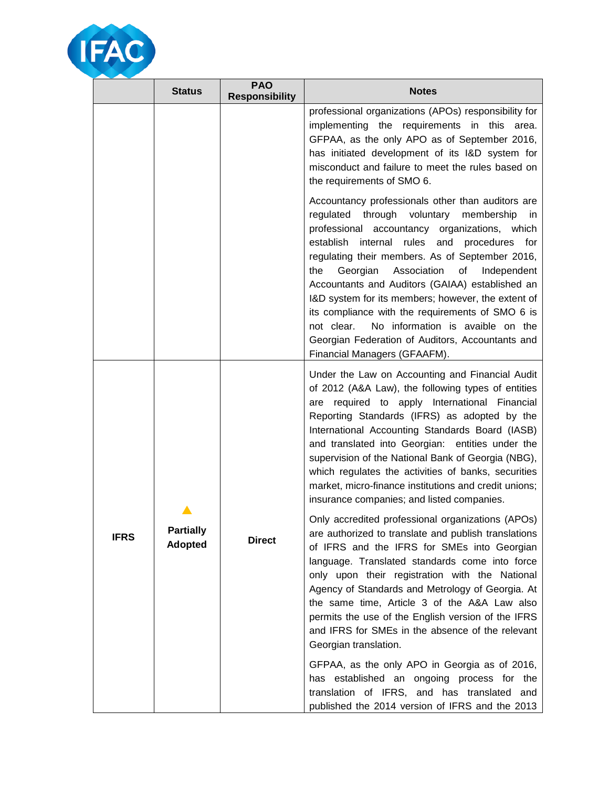

|             | <b>Status</b>                      | <b>PAO</b><br><b>Responsibility</b> | <b>Notes</b>                                                                                                                                                                                                                                                                                                                                                                                                                                                                                                                                                                                                                |
|-------------|------------------------------------|-------------------------------------|-----------------------------------------------------------------------------------------------------------------------------------------------------------------------------------------------------------------------------------------------------------------------------------------------------------------------------------------------------------------------------------------------------------------------------------------------------------------------------------------------------------------------------------------------------------------------------------------------------------------------------|
|             |                                    |                                     | professional organizations (APOs) responsibility for<br>implementing the requirements in this area.<br>GFPAA, as the only APO as of September 2016,<br>has initiated development of its I&D system for<br>misconduct and failure to meet the rules based on<br>the requirements of SMO 6.                                                                                                                                                                                                                                                                                                                                   |
|             |                                    |                                     | Accountancy professionals other than auditors are<br>regulated through voluntary<br>membership<br>in.<br>professional accountancy organizations, which<br>establish internal<br>rules<br>and<br>procedures for<br>regulating their members. As of September 2016,<br>Association<br>of<br>the<br>Georgian<br>Independent<br>Accountants and Auditors (GAIAA) established an<br>I&D system for its members; however, the extent of<br>its compliance with the requirements of SMO 6 is<br>No information is avaible on the<br>not clear.<br>Georgian Federation of Auditors, Accountants and<br>Financial Managers (GFAAFM). |
| <b>IFRS</b> |                                    |                                     | Under the Law on Accounting and Financial Audit<br>of 2012 (A&A Law), the following types of entities<br>are required to apply International Financial<br>Reporting Standards (IFRS) as adopted by the<br>International Accounting Standards Board (IASB)<br>and translated into Georgian: entities under the<br>supervision of the National Bank of Georgia (NBG),<br>which regulates the activities of banks, securities<br>market, micro-finance institutions and credit unions;<br>insurance companies; and listed companies.                                                                                           |
|             | <b>Partially</b><br><b>Adopted</b> | <b>Direct</b>                       | Only accredited professional organizations (APOs)<br>are authorized to translate and publish translations<br>of IFRS and the IFRS for SMEs into Georgian<br>language. Translated standards come into force<br>only upon their registration with the National<br>Agency of Standards and Metrology of Georgia. At<br>the same time, Article 3 of the A&A Law also<br>permits the use of the English version of the IFRS<br>and IFRS for SMEs in the absence of the relevant<br>Georgian translation.                                                                                                                         |
|             |                                    |                                     | GFPAA, as the only APO in Georgia as of 2016,<br>has established an ongoing process for the<br>translation of IFRS, and has translated and<br>published the 2014 version of IFRS and the 2013                                                                                                                                                                                                                                                                                                                                                                                                                               |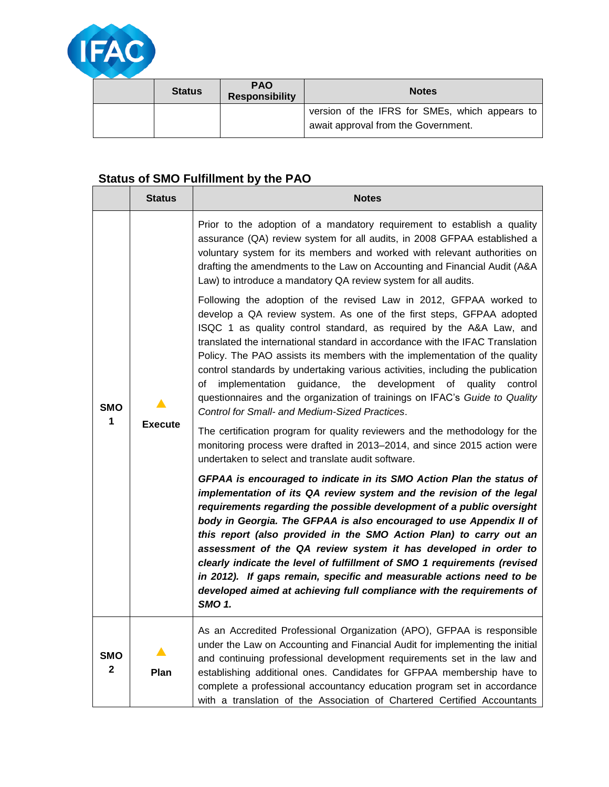

| <b>Status</b> | <b>PAO</b><br><b>Responsibility</b> | <b>Notes</b>                                                                          |
|---------------|-------------------------------------|---------------------------------------------------------------------------------------|
|               |                                     | version of the IFRS for SMEs, which appears to<br>await approval from the Government. |

## **Status of SMO Fulfillment by the PAO**

|                            | <b>Status</b>  | <b>Notes</b>                                                                                                                                                                                                                                                                                                                                                                                                                                                                                                                                                                                                                                                                         |
|----------------------------|----------------|--------------------------------------------------------------------------------------------------------------------------------------------------------------------------------------------------------------------------------------------------------------------------------------------------------------------------------------------------------------------------------------------------------------------------------------------------------------------------------------------------------------------------------------------------------------------------------------------------------------------------------------------------------------------------------------|
| <b>SMO</b>                 |                | Prior to the adoption of a mandatory requirement to establish a quality<br>assurance (QA) review system for all audits, in 2008 GFPAA established a<br>voluntary system for its members and worked with relevant authorities on<br>drafting the amendments to the Law on Accounting and Financial Audit (A&A<br>Law) to introduce a mandatory QA review system for all audits.                                                                                                                                                                                                                                                                                                       |
|                            |                | Following the adoption of the revised Law in 2012, GFPAA worked to<br>develop a QA review system. As one of the first steps, GFPAA adopted<br>ISQC 1 as quality control standard, as required by the A&A Law, and<br>translated the international standard in accordance with the IFAC Translation<br>Policy. The PAO assists its members with the implementation of the quality<br>control standards by undertaking various activities, including the publication<br>implementation<br>guidance,<br>the<br>development of quality<br>οf<br>control<br>questionnaires and the organization of trainings on IFAC's Guide to Quality<br>Control for Small- and Medium-Sized Practices. |
| 1                          | <b>Execute</b> | The certification program for quality reviewers and the methodology for the<br>monitoring process were drafted in 2013–2014, and since 2015 action were<br>undertaken to select and translate audit software.                                                                                                                                                                                                                                                                                                                                                                                                                                                                        |
|                            |                | GFPAA is encouraged to indicate in its SMO Action Plan the status of<br>implementation of its QA review system and the revision of the legal<br>requirements regarding the possible development of a public oversight<br>body in Georgia. The GFPAA is also encouraged to use Appendix II of<br>this report (also provided in the SMO Action Plan) to carry out an<br>assessment of the QA review system it has developed in order to<br>clearly indicate the level of fulfillment of SMO 1 requirements (revised<br>in 2012). If gaps remain, specific and measurable actions need to be<br>developed aimed at achieving full compliance with the requirements of<br><b>SMO 1.</b>  |
| <b>SMO</b><br>$\mathbf{2}$ | Plan           | As an Accredited Professional Organization (APO), GFPAA is responsible<br>under the Law on Accounting and Financial Audit for implementing the initial<br>and continuing professional development requirements set in the law and<br>establishing additional ones. Candidates for GFPAA membership have to<br>complete a professional accountancy education program set in accordance<br>with a translation of the Association of Chartered Certified Accountants                                                                                                                                                                                                                    |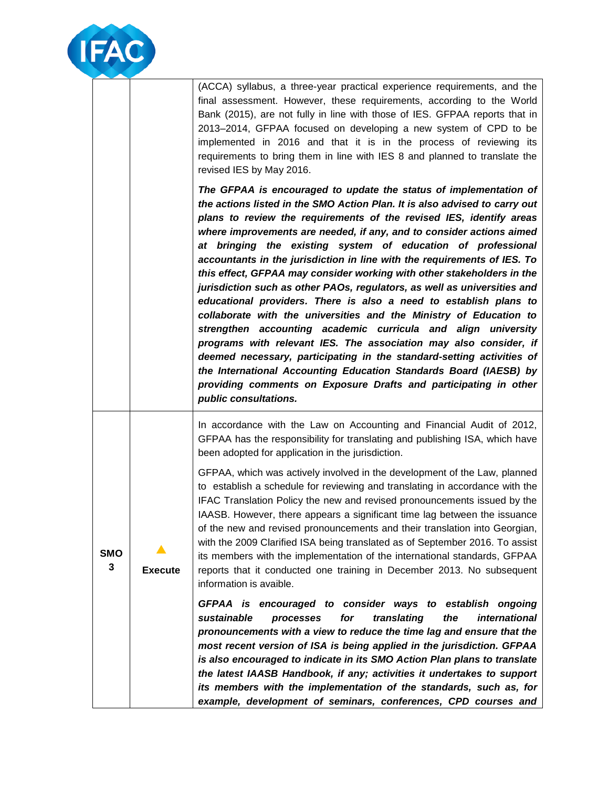

(ACCA) syllabus, a three-year practical experience requirements, and the final assessment. However, these requirements, according to the World Bank (2015), are not fully in line with those of IES. GFPAA reports that in 2013–2014, GFPAA focused on developing a new system of CPD to be implemented in 2016 and that it is in the process of reviewing its requirements to bring them in line with IES 8 and planned to translate the revised IES by May 2016.

*The GFPAA is encouraged to update the status of implementation of the actions listed in the SMO Action Plan. It is also advised to carry out plans to review the requirements of the revised IES, identify areas where improvements are needed, if any, and to consider actions aimed at bringing the existing system of education of professional accountants in the jurisdiction in line with the requirements of IES. To this effect, GFPAA may consider working with other stakeholders in the jurisdiction such as other PAOs, regulators, as well as universities and educational providers. There is also a need to establish plans to collaborate with the universities and the Ministry of Education to strengthen accounting academic curricula and align university programs with relevant IES. The association may also consider, if deemed necessary, participating in the standard-setting activities of the International Accounting Education Standards Board (IAESB) by providing comments on Exposure Drafts and participating in other public consultations.* 

In accordance with the Law on Accounting and Financial Audit of 2012, GFPAA has the responsibility for translating and publishing ISA, which have been adopted for application in the jurisdiction.

GFPAA, which was actively involved in the development of the Law, planned to establish a schedule for reviewing and translating in accordance with the IFAC Translation Policy the new and revised pronouncements issued by the IAASB. However, there appears a significant time lag between the issuance of the new and revised pronouncements and their translation into Georgian, with the 2009 Clarified ISA being translated as of September 2016. To assist its members with the implementation of the international standards, GFPAA reports that it conducted one training in December 2013. No subsequent information is avaible.

GFPAA is encouraged to consider ways to establish ongoing *sustainable processes for translating the international pronouncements with a view to reduce the time lag and ensure that the most recent version of ISA is being applied in the jurisdiction. GFPAA is also encouraged to indicate in its SMO Action Plan plans to translate the latest IAASB Handbook, if any; activities it undertakes to support its members with the implementation of the standards, such as, for example, development of seminars, conferences, CPD courses and* 

**SMO 3**  $\blacktriangle$ **Execute**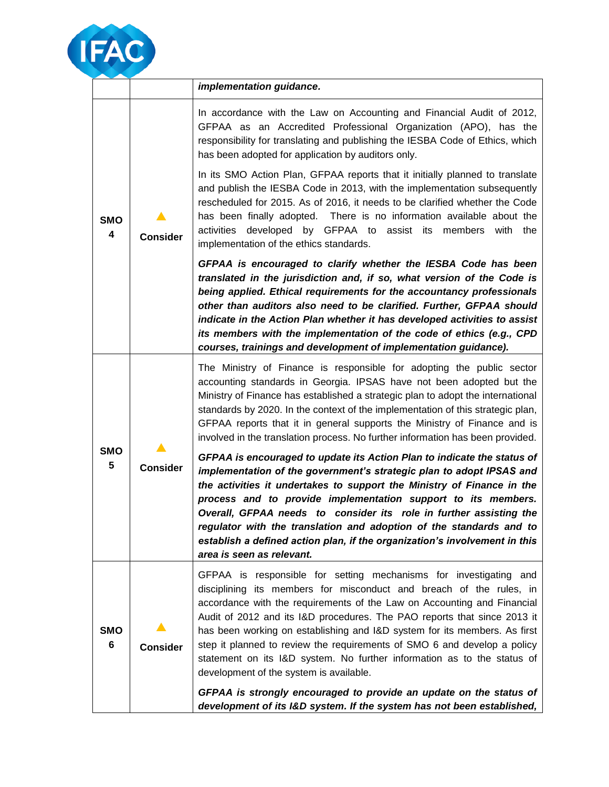

|                              |                 | implementation guidance.                                                                                                                                                                                                                                                                                                                                                                                                                                                                                                                                                       |
|------------------------------|-----------------|--------------------------------------------------------------------------------------------------------------------------------------------------------------------------------------------------------------------------------------------------------------------------------------------------------------------------------------------------------------------------------------------------------------------------------------------------------------------------------------------------------------------------------------------------------------------------------|
|                              |                 | In accordance with the Law on Accounting and Financial Audit of 2012,<br>GFPAA as an Accredited Professional Organization (APO), has the<br>responsibility for translating and publishing the IESBA Code of Ethics, which<br>has been adopted for application by auditors only.                                                                                                                                                                                                                                                                                                |
| <b>SMO</b><br>4              | <b>Consider</b> | In its SMO Action Plan, GFPAA reports that it initially planned to translate<br>and publish the IESBA Code in 2013, with the implementation subsequently<br>rescheduled for 2015. As of 2016, it needs to be clarified whether the Code<br>has been finally adopted. There is no information available about the<br>activities developed by GFPAA to assist its members with the<br>implementation of the ethics standards.                                                                                                                                                    |
|                              |                 | GFPAA is encouraged to clarify whether the IESBA Code has been<br>translated in the jurisdiction and, if so, what version of the Code is<br>being applied. Ethical requirements for the accountancy professionals<br>other than auditors also need to be clarified. Further, GFPAA should<br>indicate in the Action Plan whether it has developed activities to assist<br>its members with the implementation of the code of ethics (e.g., CPD<br>courses, trainings and development of implementation guidance).                                                              |
| <b>SMO</b><br>5              |                 | The Ministry of Finance is responsible for adopting the public sector<br>accounting standards in Georgia. IPSAS have not been adopted but the<br>Ministry of Finance has established a strategic plan to adopt the international<br>standards by 2020. In the context of the implementation of this strategic plan,<br>GFPAA reports that it in general supports the Ministry of Finance and is<br>involved in the translation process. No further information has been provided.                                                                                              |
|                              | <b>Consider</b> | GFPAA is encouraged to update its Action Plan to indicate the status of<br>implementation of the government's strategic plan to adopt IPSAS and<br>the activities it undertakes to support the Ministry of Finance in the<br>process and to provide implementation support to its members.<br>Overall, GFPAA needs to consider its role in further assisting the<br>regulator with the translation and adoption of the standards and to<br>establish a defined action plan, if the organization's involvement in this<br>area is seen as relevant.                             |
| <b>SMO</b><br>$6\phantom{1}$ | <b>Consider</b> | GFPAA is responsible for setting mechanisms for investigating and<br>disciplining its members for misconduct and breach of the rules, in<br>accordance with the requirements of the Law on Accounting and Financial<br>Audit of 2012 and its I&D procedures. The PAO reports that since 2013 it<br>has been working on establishing and I&D system for its members. As first<br>step it planned to review the requirements of SMO 6 and develop a policy<br>statement on its I&D system. No further information as to the status of<br>development of the system is available. |
|                              |                 | GFPAA is strongly encouraged to provide an update on the status of<br>development of its I&D system. If the system has not been established,                                                                                                                                                                                                                                                                                                                                                                                                                                   |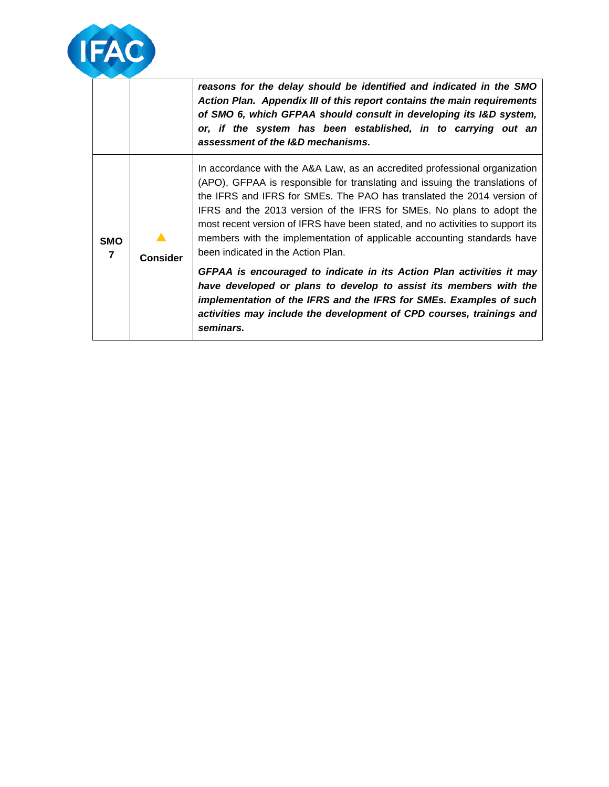

**SMO 7**

 $\blacktriangle$ **Consider**

*reasons for the delay should be identified and indicated in the SMO Action Plan. Appendix III of this report contains the main requirements of SMO 6, which GFPAA should consult in developing its I&D system, or, if the system has been established, in to carrying out an assessment of the I&D mechanisms.*

In accordance with the A&A Law, as an accredited professional organization (APO), GFPAA is responsible for translating and issuing the translations of the IFRS and IFRS for SMEs. The PAO has translated the 2014 version of IFRS and the 2013 version of the IFRS for SMEs. No plans to adopt the most recent version of IFRS have been stated, and no activities to support its members with the implementation of applicable accounting standards have been indicated in the Action Plan.

*GFPAA is encouraged to indicate in its Action Plan activities it may have developed or plans to develop to assist its members with the implementation of the IFRS and the IFRS for SMEs. Examples of such activities may include the development of CPD courses, trainings and seminars.*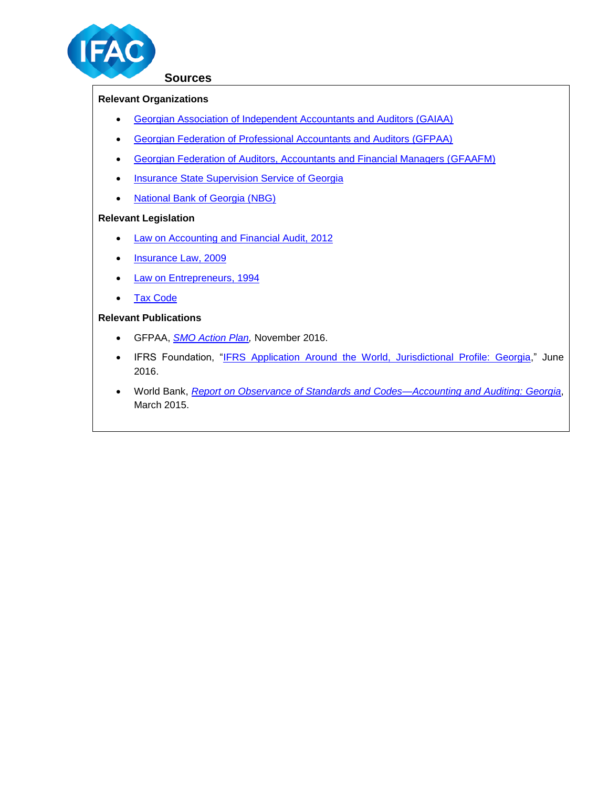

#### **Sources**

## **Relevant Organizations**

- [Georgian Association of Independent Accountants and Auditors \(GAIAA\)](http://www.gaiaa.org.ge/)
- [Georgian Federation of Professional Accountants and Auditors \(GFPAA\)](http://www.gfpaa.ge/site/index.php)
- [Georgian Federation of Auditors, Accountants and Financial Managers \(GFAAFM\)](http://gfaafm.ge/)
- **[Insurance State Supervision Service of Georgia](http://www.insurance.gov.ge/)**
- [National Bank of Georgia \(NBG\)](https://www.nbg.gov.ge/index.php?m=2)

## **Relevant Legislation**

- [Law on Accounting and Financial Audit, 2012](https://matsne.gov.ge/en/document/view/1698895?publication=7)
- [Insurance Law,](http://www.insurance.gov.ge/getattachment/Legislation/Normative-Acts/Law_On_Insurance.pdf.aspx) 2009
- [Law on Entrepreneurs, 1994](http://www.microfinancegateway.org/sites/default/files/mfg-en-paper-law-of-the-republic-of-georgia-on-entrepreneurs-1994.pdf)
- [Tax Code](http://www.lexadin.nl/wlg/legis/nofr/oeur/arch/geo/TCE.pdf)

## **Relevant Publications**

- GFPAA, *[SMO Action Plan,](http://www.ifac.org/system/files/compliance-assessment/part_3/201310_georgia_gfpaa.pdf)* November 2016.
- IFRS Foundation, "IFRS Application Around the World, Jurisdictional Profile: Georgia," June 2016.
- World Bank, *[Report on Observance of Standards and Codes—Accounting and Auditing:](http://www-wds.worldbank.org/external/default/WDSContentServer/WDSP/IB/2015/10/28/090224b083174aa6/3_0/Rendered/PDF/Georgia000Repo00Auditing00A0A0ROSC0.pdf) Georgia*, March 2015.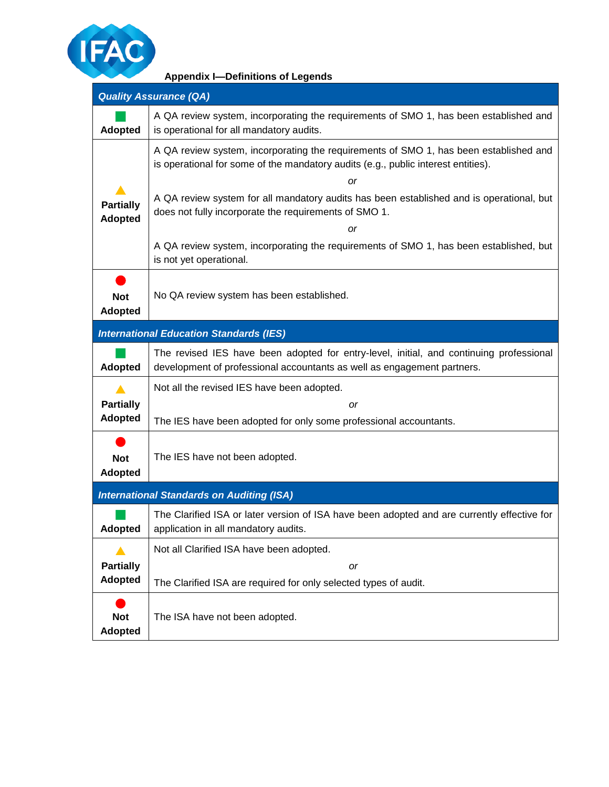

| <b>Appendix I-Definitions of Legends</b> |  |  |
|------------------------------------------|--|--|
|------------------------------------------|--|--|

|                                    | <b>Quality Assurance (QA)</b>                                                                                                                                              |
|------------------------------------|----------------------------------------------------------------------------------------------------------------------------------------------------------------------------|
| <b>Adopted</b>                     | A QA review system, incorporating the requirements of SMO 1, has been established and<br>is operational for all mandatory audits.                                          |
|                                    | A QA review system, incorporating the requirements of SMO 1, has been established and<br>is operational for some of the mandatory audits (e.g., public interest entities). |
| <b>Partially</b><br><b>Adopted</b> | <sub>or</sub><br>A QA review system for all mandatory audits has been established and is operational, but<br>does not fully incorporate the requirements of SMO 1.<br>or   |
|                                    | A QA review system, incorporating the requirements of SMO 1, has been established, but<br>is not yet operational.                                                          |
| <b>Not</b><br><b>Adopted</b>       | No QA review system has been established.                                                                                                                                  |
|                                    | <b>International Education Standards (IES)</b>                                                                                                                             |
| <b>Adopted</b>                     | The revised IES have been adopted for entry-level, initial, and continuing professional<br>development of professional accountants as well as engagement partners.         |
|                                    | Not all the revised IES have been adopted.                                                                                                                                 |
| <b>Partially</b><br><b>Adopted</b> | or<br>The IES have been adopted for only some professional accountants.                                                                                                    |
| <b>Not</b><br><b>Adopted</b>       | The IES have not been adopted.                                                                                                                                             |
|                                    | <b>International Standards on Auditing (ISA)</b>                                                                                                                           |
| <b>Adopted</b>                     | The Clarified ISA or later version of ISA have been adopted and are currently effective for<br>application in all mandatory audits.                                        |
|                                    | Not all Clarified ISA have been adopted.                                                                                                                                   |
| <b>Partially</b><br><b>Adopted</b> | or<br>The Clarified ISA are required for only selected types of audit.                                                                                                     |
| <b>Not</b><br><b>Adopted</b>       | The ISA have not been adopted.                                                                                                                                             |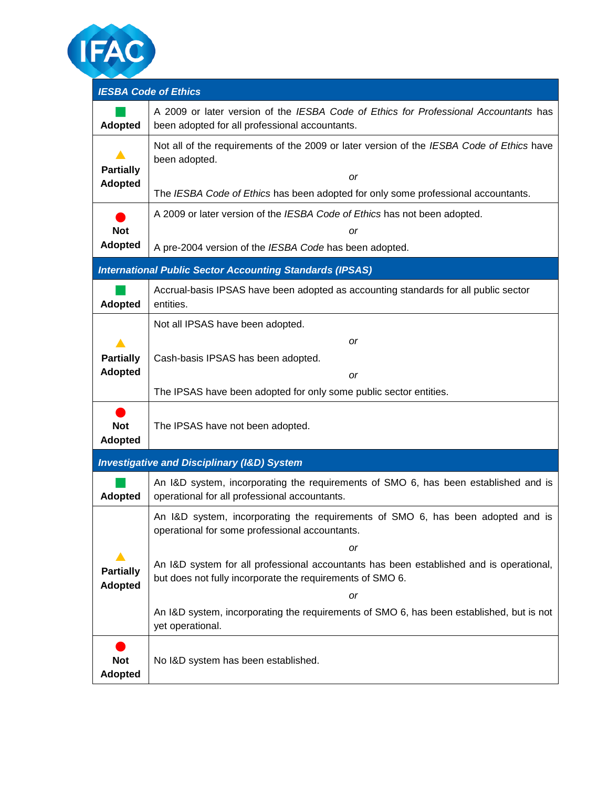

| <b>IESBA Code of Ethics</b>        |                                                                                                                                                                                                       |
|------------------------------------|-------------------------------------------------------------------------------------------------------------------------------------------------------------------------------------------------------|
| <b>Adopted</b>                     | A 2009 or later version of the IESBA Code of Ethics for Professional Accountants has<br>been adopted for all professional accountants.                                                                |
| <b>Partially</b><br><b>Adopted</b> | Not all of the requirements of the 2009 or later version of the IESBA Code of Ethics have<br>been adopted.<br>or<br>The IESBA Code of Ethics has been adopted for only some professional accountants. |
|                                    | A 2009 or later version of the IESBA Code of Ethics has not been adopted.                                                                                                                             |
| <b>Not</b><br><b>Adopted</b>       | or<br>A pre-2004 version of the IESBA Code has been adopted.                                                                                                                                          |
|                                    | <b>International Public Sector Accounting Standards (IPSAS)</b>                                                                                                                                       |
| <b>Adopted</b>                     | Accrual-basis IPSAS have been adopted as accounting standards for all public sector<br>entities.                                                                                                      |
| <b>Partially</b><br><b>Adopted</b> | Not all IPSAS have been adopted.<br>or<br>Cash-basis IPSAS has been adopted.<br>or                                                                                                                    |
|                                    | The IPSAS have been adopted for only some public sector entities.                                                                                                                                     |
| <b>Not</b><br><b>Adopted</b>       | The IPSAS have not been adopted.                                                                                                                                                                      |
|                                    | <b>Investigative and Disciplinary (I&amp;D) System</b>                                                                                                                                                |
| <b>Adopted</b>                     | An I&D system, incorporating the requirements of SMO 6, has been established and is<br>operational for all professional accountants.                                                                  |
|                                    | An I&D system, incorporating the requirements of SMO 6, has been adopted and is<br>operational for some professional accountants.                                                                     |
|                                    | or                                                                                                                                                                                                    |
| <b>Partially</b><br><b>Adopted</b> | An I&D system for all professional accountants has been established and is operational,<br>but does not fully incorporate the requirements of SMO 6.                                                  |
|                                    | or<br>An I&D system, incorporating the requirements of SMO 6, has been established, but is not<br>yet operational.                                                                                    |
| <b>Not</b><br><b>Adopted</b>       | No I&D system has been established.                                                                                                                                                                   |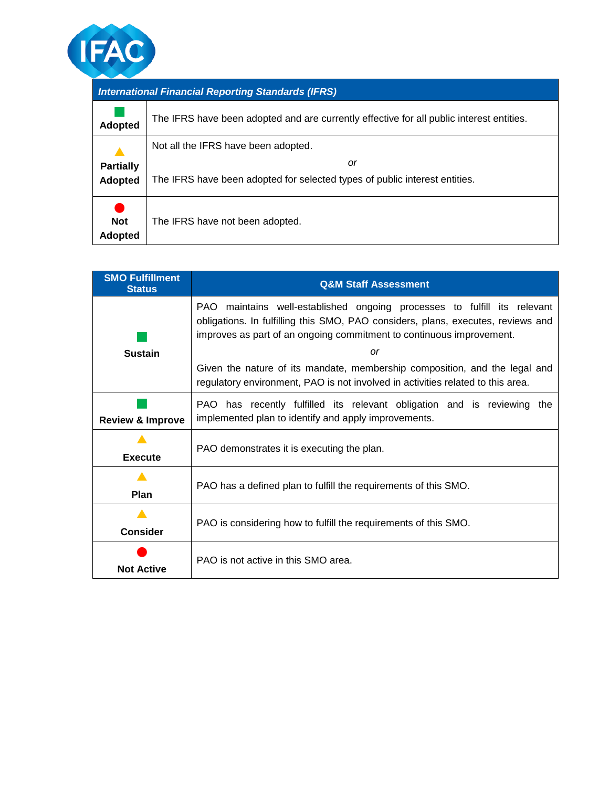

| <b>International Financial Reporting Standards (IFRS)</b> |                                                                                          |  |  |  |  |  |
|-----------------------------------------------------------|------------------------------------------------------------------------------------------|--|--|--|--|--|
| <b>Adopted</b>                                            | The IFRS have been adopted and are currently effective for all public interest entities. |  |  |  |  |  |
|                                                           | Not all the IFRS have been adopted.                                                      |  |  |  |  |  |
| <b>Partially</b><br><b>Adopted</b>                        | or<br>The IFRS have been adopted for selected types of public interest entities.         |  |  |  |  |  |
| <b>Not</b><br><b>Adopted</b>                              | The IFRS have not been adopted.                                                          |  |  |  |  |  |

| <b>SMO Fulfillment</b><br><b>Status</b> | <b>Q&amp;M Staff Assessment</b>                                                                                                                                                                                                      |  |  |  |  |  |  |  |
|-----------------------------------------|--------------------------------------------------------------------------------------------------------------------------------------------------------------------------------------------------------------------------------------|--|--|--|--|--|--|--|
|                                         | PAO maintains well-established ongoing processes to fulfill its relevant<br>obligations. In fulfilling this SMO, PAO considers, plans, executes, reviews and<br>improves as part of an ongoing commitment to continuous improvement. |  |  |  |  |  |  |  |
| <b>Sustain</b>                          | or                                                                                                                                                                                                                                   |  |  |  |  |  |  |  |
|                                         | Given the nature of its mandate, membership composition, and the legal and<br>regulatory environment, PAO is not involved in activities related to this area.                                                                        |  |  |  |  |  |  |  |
| <b>Review &amp; Improve</b>             | PAO has recently fulfilled its relevant obligation and is reviewing the<br>implemented plan to identify and apply improvements.                                                                                                      |  |  |  |  |  |  |  |
|                                         |                                                                                                                                                                                                                                      |  |  |  |  |  |  |  |
|                                         | PAO demonstrates it is executing the plan.                                                                                                                                                                                           |  |  |  |  |  |  |  |
| <b>Execute</b>                          |                                                                                                                                                                                                                                      |  |  |  |  |  |  |  |
|                                         |                                                                                                                                                                                                                                      |  |  |  |  |  |  |  |
| Plan                                    | PAO has a defined plan to fulfill the requirements of this SMO.                                                                                                                                                                      |  |  |  |  |  |  |  |
|                                         |                                                                                                                                                                                                                                      |  |  |  |  |  |  |  |
| <b>Consider</b>                         | PAO is considering how to fulfill the requirements of this SMO.                                                                                                                                                                      |  |  |  |  |  |  |  |
| <b>Not Active</b>                       | PAO is not active in this SMO area.                                                                                                                                                                                                  |  |  |  |  |  |  |  |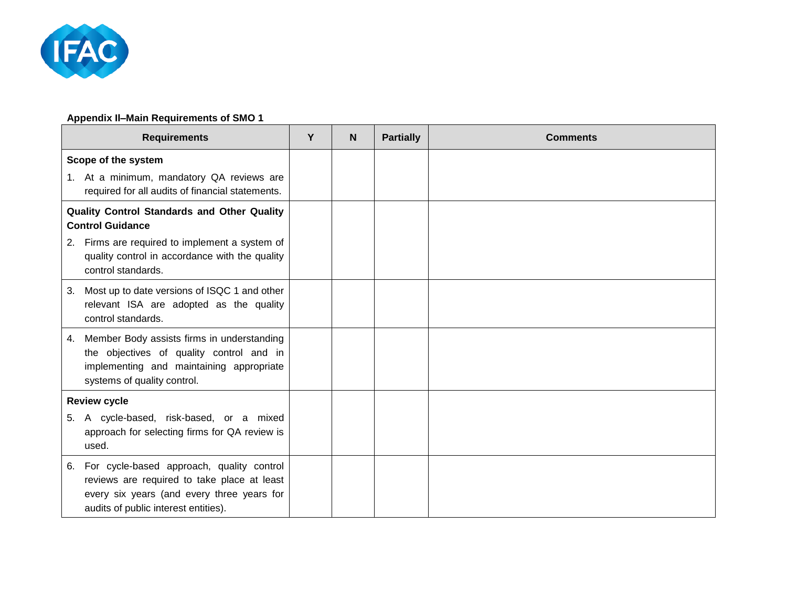

## **Appendix II‒Main Requirements of SMO 1**

| <b>Requirements</b>                                                                                                                                                                  | Y | N | <b>Partially</b> | <b>Comments</b> |
|--------------------------------------------------------------------------------------------------------------------------------------------------------------------------------------|---|---|------------------|-----------------|
| Scope of the system                                                                                                                                                                  |   |   |                  |                 |
| 1. At a minimum, mandatory QA reviews are<br>required for all audits of financial statements.                                                                                        |   |   |                  |                 |
| Quality Control Standards and Other Quality<br><b>Control Guidance</b>                                                                                                               |   |   |                  |                 |
| Firms are required to implement a system of<br>2.<br>quality control in accordance with the quality<br>control standards.                                                            |   |   |                  |                 |
| Most up to date versions of ISQC 1 and other<br>3.<br>relevant ISA are adopted as the quality<br>control standards.                                                                  |   |   |                  |                 |
| Member Body assists firms in understanding<br>4.<br>the objectives of quality control and in<br>implementing and maintaining appropriate<br>systems of quality control.              |   |   |                  |                 |
| <b>Review cycle</b>                                                                                                                                                                  |   |   |                  |                 |
| 5. A cycle-based, risk-based, or a mixed<br>approach for selecting firms for QA review is<br>used.                                                                                   |   |   |                  |                 |
| For cycle-based approach, quality control<br>6.<br>reviews are required to take place at least<br>every six years (and every three years for<br>audits of public interest entities). |   |   |                  |                 |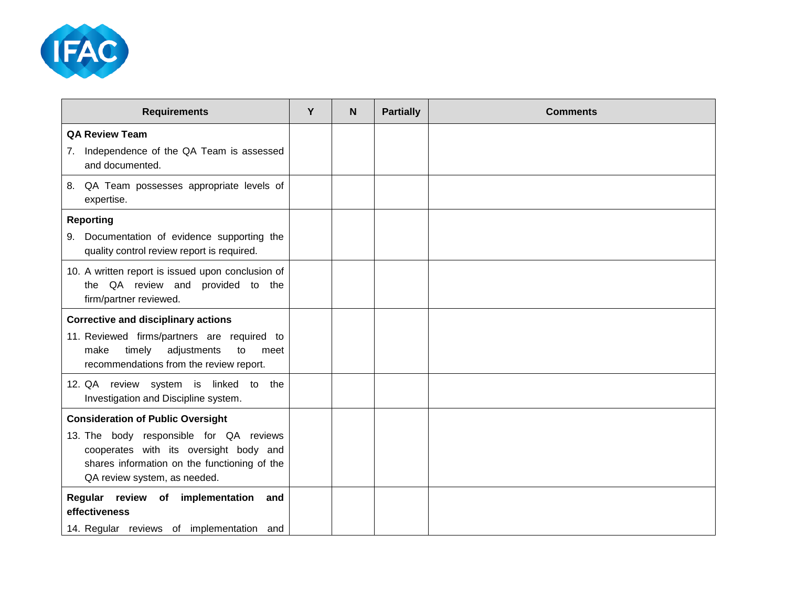

| <b>Requirements</b>                                                                                              | Y | N | <b>Partially</b> | <b>Comments</b> |
|------------------------------------------------------------------------------------------------------------------|---|---|------------------|-----------------|
| <b>QA Review Team</b><br>7. Independence of the QA Team is assessed                                              |   |   |                  |                 |
| and documented.                                                                                                  |   |   |                  |                 |
| 8. QA Team possesses appropriate levels of<br>expertise.                                                         |   |   |                  |                 |
| <b>Reporting</b>                                                                                                 |   |   |                  |                 |
| 9. Documentation of evidence supporting the<br>quality control review report is required.                        |   |   |                  |                 |
| 10. A written report is issued upon conclusion of<br>the QA review and provided to the<br>firm/partner reviewed. |   |   |                  |                 |
| <b>Corrective and disciplinary actions</b>                                                                       |   |   |                  |                 |
| 11. Reviewed firms/partners are required to                                                                      |   |   |                  |                 |
| timely<br>make<br>adjustments<br>to<br>meet<br>recommendations from the review report.                           |   |   |                  |                 |
| 12. QA review system is linked to the<br>Investigation and Discipline system.                                    |   |   |                  |                 |
| <b>Consideration of Public Oversight</b>                                                                         |   |   |                  |                 |
| 13. The body responsible for QA reviews                                                                          |   |   |                  |                 |
| cooperates with its oversight body and<br>shares information on the functioning of the                           |   |   |                  |                 |
| QA review system, as needed.                                                                                     |   |   |                  |                 |
| Regular review of implementation<br>and<br>effectiveness                                                         |   |   |                  |                 |
| 14. Regular reviews of implementation and                                                                        |   |   |                  |                 |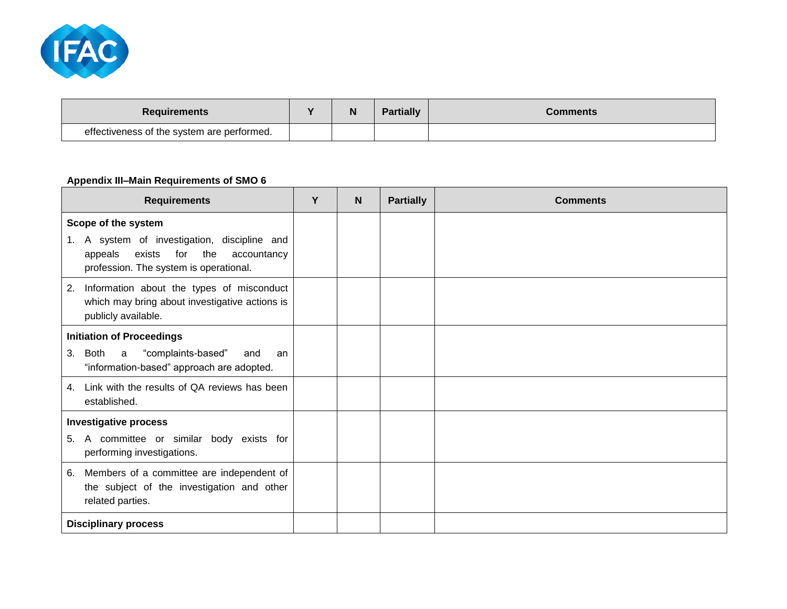

| <b>Requirements</b>                        | $\blacksquare$ | IN | <b>Partially</b> | Comments |
|--------------------------------------------|----------------|----|------------------|----------|
| effectiveness of the system are performed. |                |    |                  |          |

## **Appendix III‒Main Requirements of SMO 6**

| <b>Requirements</b>                                                                                                                      | Y | N | <b>Partially</b> | <b>Comments</b> |
|------------------------------------------------------------------------------------------------------------------------------------------|---|---|------------------|-----------------|
| Scope of the system                                                                                                                      |   |   |                  |                 |
| 1. A system of investigation, discipline and<br>for<br>appeals<br>exists<br>the<br>accountancy<br>profession. The system is operational. |   |   |                  |                 |
| Information about the types of misconduct<br>2.<br>which may bring about investigative actions is<br>publicly available.                 |   |   |                  |                 |
| <b>Initiation of Proceedings</b>                                                                                                         |   |   |                  |                 |
| Both<br>"complaints-based"<br>3.<br>a<br>and<br>an<br>"information-based" approach are adopted.                                          |   |   |                  |                 |
| Link with the results of QA reviews has been<br>4.<br>established.                                                                       |   |   |                  |                 |
| <b>Investigative process</b>                                                                                                             |   |   |                  |                 |
| 5. A committee or similar body exists for<br>performing investigations.                                                                  |   |   |                  |                 |
| Members of a committee are independent of<br>6.<br>the subject of the investigation and other<br>related parties.                        |   |   |                  |                 |
| <b>Disciplinary process</b>                                                                                                              |   |   |                  |                 |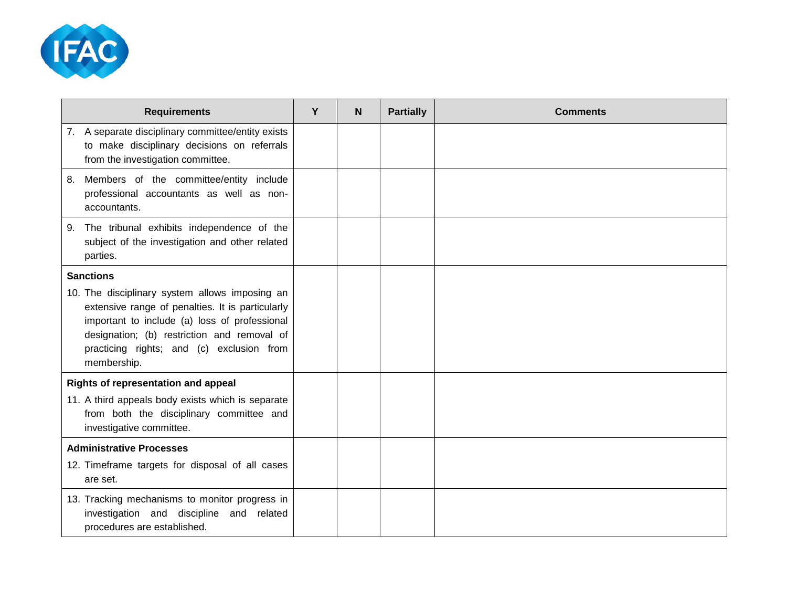

| <b>Requirements</b>                                                                                                                                                                                                                                            | Y | N | <b>Partially</b> | <b>Comments</b> |
|----------------------------------------------------------------------------------------------------------------------------------------------------------------------------------------------------------------------------------------------------------------|---|---|------------------|-----------------|
| 7. A separate disciplinary committee/entity exists<br>to make disciplinary decisions on referrals<br>from the investigation committee.                                                                                                                         |   |   |                  |                 |
| Members of the committee/entity include<br>8.<br>professional accountants as well as non-<br>accountants.                                                                                                                                                      |   |   |                  |                 |
| The tribunal exhibits independence of the<br>9.<br>subject of the investigation and other related<br>parties.                                                                                                                                                  |   |   |                  |                 |
| <b>Sanctions</b>                                                                                                                                                                                                                                               |   |   |                  |                 |
| 10. The disciplinary system allows imposing an<br>extensive range of penalties. It is particularly<br>important to include (a) loss of professional<br>designation; (b) restriction and removal of<br>practicing rights; and (c) exclusion from<br>membership. |   |   |                  |                 |
| <b>Rights of representation and appeal</b><br>11. A third appeals body exists which is separate<br>from both the disciplinary committee and<br>investigative committee.                                                                                        |   |   |                  |                 |
| <b>Administrative Processes</b>                                                                                                                                                                                                                                |   |   |                  |                 |
| 12. Timeframe targets for disposal of all cases<br>are set.                                                                                                                                                                                                    |   |   |                  |                 |
| 13. Tracking mechanisms to monitor progress in<br>investigation and discipline and related<br>procedures are established.                                                                                                                                      |   |   |                  |                 |